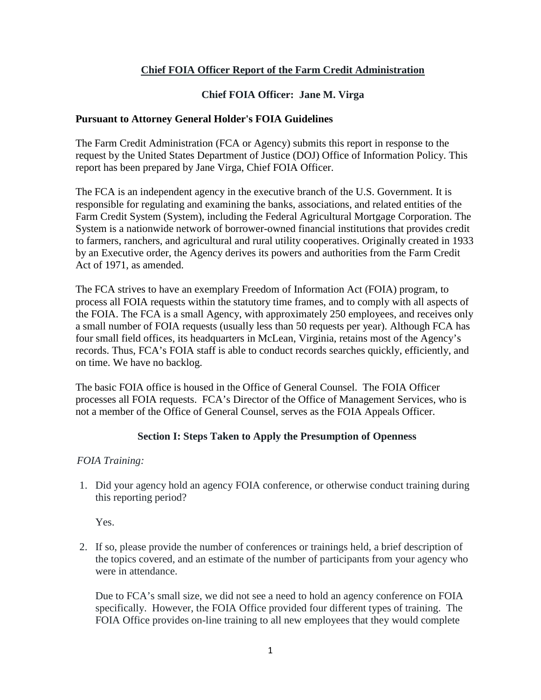# **Chief FOIA Officer Report of the Farm Credit Administration**

# **Chief FOIA Officer: Jane M. Virga**

#### **Pursuant to Attorney General Holder's FOIA Guidelines**

The Farm Credit Administration (FCA or Agency) submits this report in response to the request by the United States Department of Justice (DOJ) Office of Information Policy. This report has been prepared by Jane Virga, Chief FOIA Officer.

The FCA is an independent agency in the executive branch of the U.S. Government. It is responsible for regulating and examining the banks, associations, and related entities of the Farm Credit System (System), including the Federal Agricultural Mortgage Corporation. The System is a nationwide network of borrower-owned financial institutions that provides credit to farmers, ranchers, and agricultural and rural utility cooperatives. Originally created in 1933 by an Executive order, the Agency derives its powers and authorities from the Farm Credit Act of 1971, as amended.

The FCA strives to have an exemplary Freedom of Information Act (FOIA) program, to process all FOIA requests within the statutory time frames, and to comply with all aspects of the FOIA. The FCA is a small Agency, with approximately 250 employees, and receives only a small number of FOIA requests (usually less than 50 requests per year). Although FCA has four small field offices, its headquarters in McLean, Virginia, retains most of the Agency's records. Thus, FCA's FOIA staff is able to conduct records searches quickly, efficiently, and on time. We have no backlog.

The basic FOIA office is housed in the Office of General Counsel. The FOIA Officer processes all FOIA requests. FCA's Director of the Office of Management Services, who is not a member of the Office of General Counsel, serves as the FOIA Appeals Officer.

### **Section I: Steps Taken to Apply the Presumption of Openness**

#### *FOIA Training:*

1. Did your agency hold an agency FOIA conference, or otherwise conduct training during this reporting period?

Yes.

2. If so, please provide the number of conferences or trainings held, a brief description of the topics covered, and an estimate of the number of participants from your agency who were in attendance.

Due to FCA's small size, we did not see a need to hold an agency conference on FOIA specifically. However, the FOIA Office provided four different types of training. The FOIA Office provides on-line training to all new employees that they would complete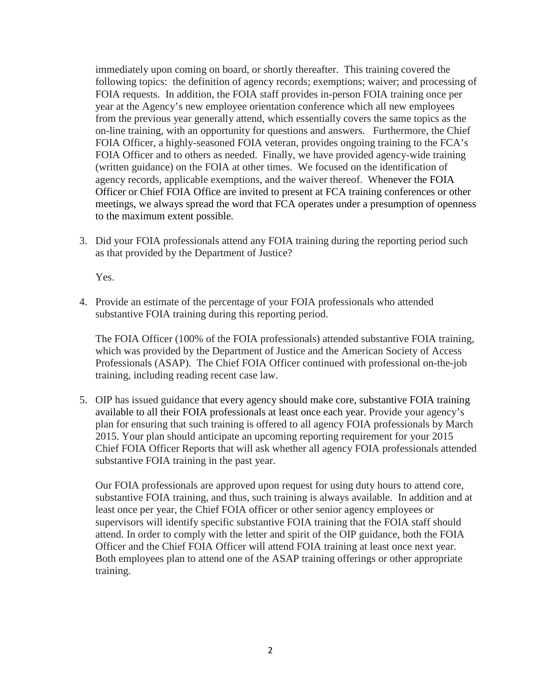immediately upon coming on board, or shortly thereafter. This training covered the following topics: the definition of agency records; exemptions; waiver; and processing of FOIA requests. In addition, the FOIA staff provides in-person FOIA training once per year at the Agency's new employee orientation conference which all new employees from the previous year generally attend, which essentially covers the same topics as the on-line training, with an opportunity for questions and answers. Furthermore, the Chief FOIA Officer, a highly-seasoned FOIA veteran, provides ongoing training to the FCA's FOIA Officer and to others as needed. Finally, we have provided agency-wide training (written guidance) on the FOIA at other times. We focused on the identification of agency records, applicable exemptions, and the waiver thereof. Whenever the FOIA Officer or Chief FOIA Office are invited to present at FCA training conferences or other meetings, we always spread the word that FCA operates under a presumption of openness to the maximum extent possible.

3. Did your FOIA professionals attend any FOIA training during the reporting period such as that provided by the Department of Justice?

Yes.

4. Provide an estimate of the percentage of your FOIA professionals who attended substantive FOIA training during this reporting period.

The FOIA Officer (100% of the FOIA professionals) attended substantive FOIA training, which was provided by the Department of Justice and the American Society of Access Professionals (ASAP). The Chief FOIA Officer continued with professional on-the-job training, including reading recent case law.

5. OIP has issued guidance that [every agency should make core, substantive FOIA training](http://www.justice.gov/oip/foiapost/2013foiapost04.html)  [available to all their FOIA professionals at least once each year.](http://www.justice.gov/oip/foiapost/2013foiapost04.html) Provide your agency's plan for ensuring that such training is offered to all agency FOIA professionals by March 2015. Your plan should anticipate an upcoming reporting requirement for your 2015 Chief FOIA Officer Reports that will ask whether all agency FOIA professionals attended substantive FOIA training in the past year.

Our FOIA professionals are approved upon request for using duty hours to attend core, substantive FOIA training, and thus, such training is always available. In addition and at least once per year, the Chief FOIA officer or other senior agency employees or supervisors will identify specific substantive FOIA training that the FOIA staff should attend. In order to comply with the letter and spirit of the OIP guidance, both the FOIA Officer and the Chief FOIA Officer will attend FOIA training at least once next year. Both employees plan to attend one of the ASAP training offerings or other appropriate training.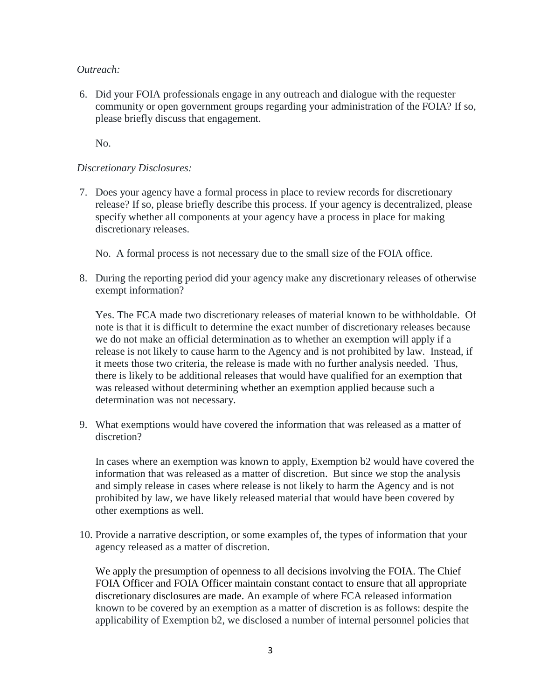*Outreach:* 

6. Did your FOIA professionals engage in any outreach and dialogue with the requester community or open government groups regarding your administration of the FOIA? If so, please briefly discuss that engagement.

No.

#### *Discretionary Disclosures:*

7. Does your agency have a formal process in place to review records for discretionary release? If so, please briefly describe this process. If your agency is decentralized, please specify whether all components at your agency have a process in place for making discretionary releases.

No. A formal process is not necessary due to the small size of the FOIA office.

8. During the reporting period did your agency make any discretionary releases of otherwise exempt information?

Yes. The FCA made two discretionary releases of material known to be withholdable. Of note is that it is difficult to determine the exact number of discretionary releases because we do not make an official determination as to whether an exemption will apply if a release is not likely to cause harm to the Agency and is not prohibited by law. Instead, if it meets those two criteria, the release is made with no further analysis needed. Thus, there is likely to be additional releases that would have qualified for an exemption that was released without determining whether an exemption applied because such a determination was not necessary.

9. What exemptions would have covered the information that was released as a matter of discretion?

In cases where an exemption was known to apply, Exemption b2 would have covered the information that was released as a matter of discretion. But since we stop the analysis and simply release in cases where release is not likely to harm the Agency and is not prohibited by law, we have likely released material that would have been covered by other exemptions as well.

10. Provide a narrative description, or some examples of, the types of information that your agency released as a matter of discretion.

We apply the presumption of openness to all decisions involving the FOIA. The Chief FOIA Officer and FOIA Officer maintain constant contact to ensure that all appropriate discretionary disclosures are made. An example of where FCA released information known to be covered by an exemption as a matter of discretion is as follows: despite the applicability of Exemption b2, we disclosed a number of internal personnel policies that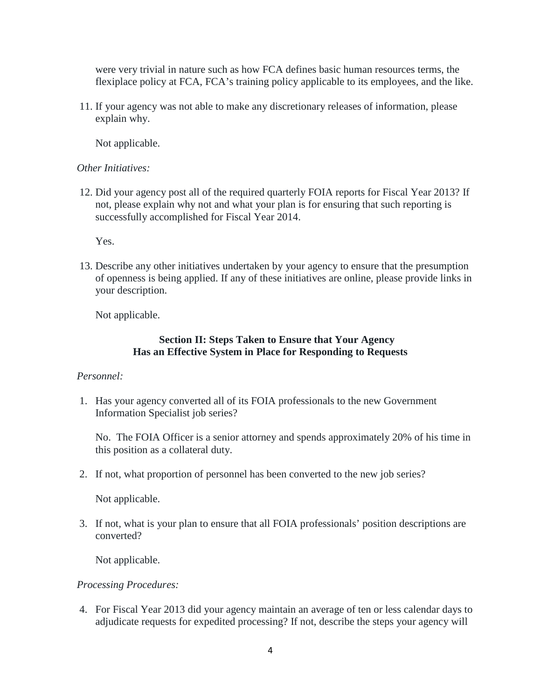were very trivial in nature such as how FCA defines basic human resources terms, the flexiplace policy at FCA, FCA's training policy applicable to its employees, and the like.

11. If your agency was not able to make any discretionary releases of information, please explain why.

Not applicable.

#### *Other Initiatives:*

12. Did your agency post all of the required quarterly FOIA reports for Fiscal Year 2013? If not, please explain why not and what your plan is for ensuring that such reporting is successfully accomplished for Fiscal Year 2014.

Yes.

13. Describe any other initiatives undertaken by your agency to ensure that the presumption of openness is being applied. If any of these initiatives are online, please provide links in your description.

Not applicable.

#### **Section II: Steps Taken to Ensure that Your Agency Has an Effective System in Place for Responding to Requests**

#### *Personnel:*

1. Has your agency converted all of its FOIA professionals to the new Government Information Specialist job series?

No. The FOIA Officer is a senior attorney and spends approximately 20% of his time in this position as a collateral duty.

2. If not, what proportion of personnel has been converted to the new job series?

Not applicable.

3. If not, what is your plan to ensure that all FOIA professionals' position descriptions are converted?

Not applicable.

#### *Processing Procedures:*

4. For Fiscal Year 2013 did your agency maintain an average of ten or less calendar days to adjudicate requests for expedited processing? If not, describe the steps your agency will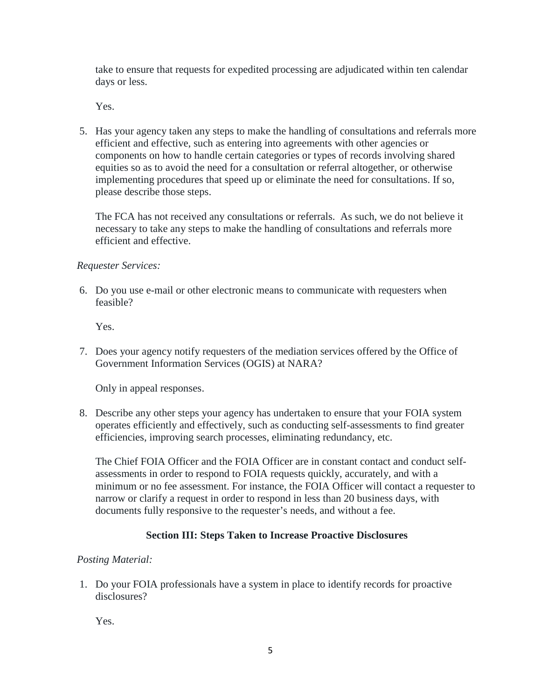take to ensure that requests for expedited processing are adjudicated within ten calendar days or less.

Yes.

5. Has your agency taken any steps to make the handling of consultations and referrals more efficient and effective, such as entering into agreements with other agencies or components on how to handle certain categories or types of records involving shared equities so as to avoid the need for a consultation or referral altogether, or otherwise implementing procedures that speed up or eliminate the need for consultations. If so, please describe those steps.

The FCA has not received any consultations or referrals. As such, we do not believe it necessary to take any steps to make the handling of consultations and referrals more efficient and effective.

### *Requester Services:*

6. Do you use e-mail or other electronic means to communicate with requesters when feasible?

Yes.

7. Does your agency notify requesters of the mediation services offered by the Office of Government Information Services (OGIS) at NARA?

Only in appeal responses.

8. Describe any other steps your agency has undertaken to ensure that your FOIA system operates efficiently and effectively, such as conducting self-assessments to find greater efficiencies, improving search processes, eliminating redundancy, etc.

The Chief FOIA Officer and the FOIA Officer are in constant contact and conduct selfassessments in order to respond to FOIA requests quickly, accurately, and with a minimum or no fee assessment. For instance, the FOIA Officer will contact a requester to narrow or clarify a request in order to respond in less than 20 business days, with documents fully responsive to the requester's needs, and without a fee.

### **Section III: Steps Taken to Increase Proactive Disclosures**

### *Posting Material:*

1. Do your FOIA professionals have a system in place to identify records for proactive disclosures?

Yes.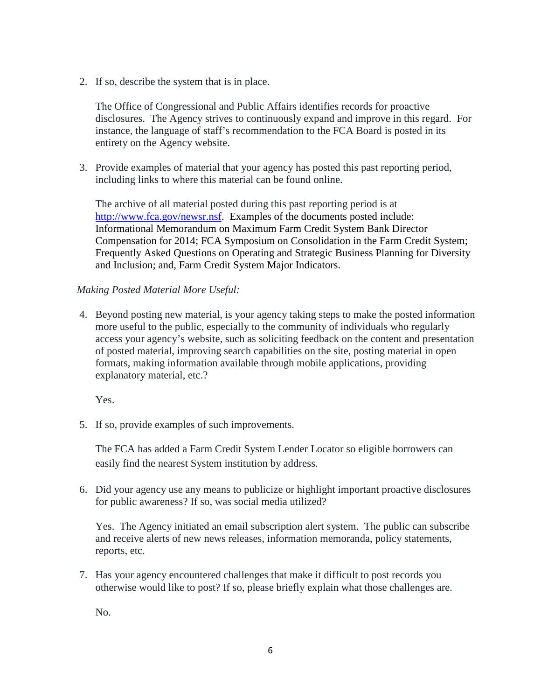2. If so, describe the system that is in place.

The Office of Congressional and Public Affairs identifies records for proactive disclosures. The Agency strives to continuously expand and improve in this regard. For instance, the language of staff's recommendation to the FCA Board is posted in its entirety on the Agency website.

3. Provide examples of material that your agency has posted this past reporting period, including links to where this material can be found online.

The archive of all material posted during this past reporting period is at [http://www.fca.gov/newsr.nsf.](http://www.fca.gov/newsr.nsf) Examples of the documents posted include: Informational Memorandum on Maximum Farm Credit System Bank Director Compensation for 2014; FCA Symposium on Consolidation in the Farm Credit System; [Frequently Asked Questions on Operating and Strategic Business Planning for Diversity](http://www.fca.gov/about/businessplanning-diversity.html)  [and Inclusion;](http://www.fca.gov/about/businessplanning-diversity.html) and, Farm Credit System Major Indicators.

### *Making Posted Material More Useful:*

4. Beyond posting new material, is your agency taking steps to make the posted information more useful to the public, especially to the community of individuals who regularly access your agency's website, such as soliciting feedback on the content and presentation of posted material, improving search capabilities on the site, posting material in open formats, making information available through mobile applications, providing explanatory material, etc.?

Yes.

5. If so, provide examples of such improvements.

The FCA has added a Farm Credit System Lender Locator so eligible borrowers can easily find the nearest System institution by address.

6. Did your agency use any means to publicize or highlight important proactive disclosures for public awareness? If so, was social media utilized?

Yes. The Agency initiated an email subscription alert system. The public can subscribe and receive alerts of new news releases, information memoranda, policy statements, reports, etc.

7. Has your agency encountered challenges that make it difficult to post records you otherwise would like to post? If so, please briefly explain what those challenges are.

No.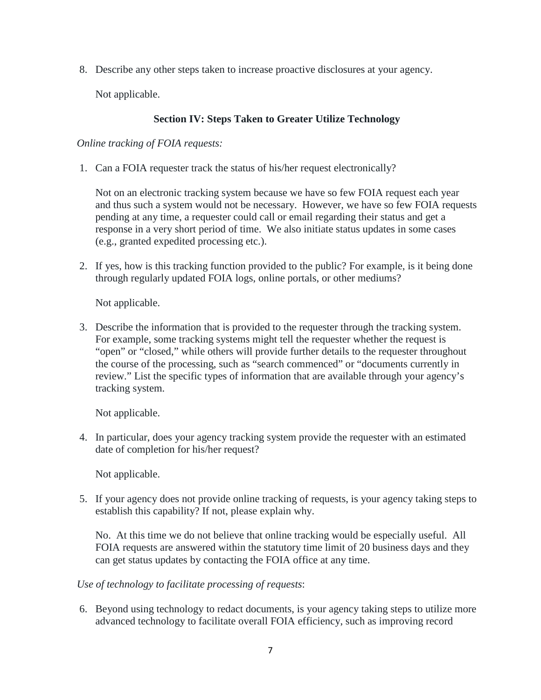8. Describe any other steps taken to increase proactive disclosures at your agency.

Not applicable.

# **Section IV: Steps Taken to Greater Utilize Technology**

*Online tracking of FOIA requests:*

1. Can a FOIA requester track the status of his/her request electronically?

Not on an electronic tracking system because we have so few FOIA request each year and thus such a system would not be necessary. However, we have so few FOIA requests pending at any time, a requester could call or email regarding their status and get a response in a very short period of time. We also initiate status updates in some cases (e.g., granted expedited processing etc.).

2. If yes, how is this tracking function provided to the public? For example, is it being done through regularly updated FOIA logs, online portals, or other mediums?

Not applicable.

3. Describe the information that is provided to the requester through the tracking system. For example, some tracking systems might tell the requester whether the request is "open" or "closed," while others will provide further details to the requester throughout the course of the processing, such as "search commenced" or "documents currently in review." List the specific types of information that are available through your agency's tracking system.

Not applicable.

4. In particular, does your agency tracking system provide the requester with an estimated date of completion for his/her request?

Not applicable.

5. If your agency does not provide online tracking of requests, is your agency taking steps to establish this capability? If not, please explain why.

No. At this time we do not believe that online tracking would be especially useful. All FOIA requests are answered within the statutory time limit of 20 business days and they can get status updates by contacting the FOIA office at any time.

### *Use of technology to facilitate processing of requests*:

6. Beyond using technology to redact documents, is your agency taking steps to utilize more advanced technology to facilitate overall FOIA efficiency, such as improving record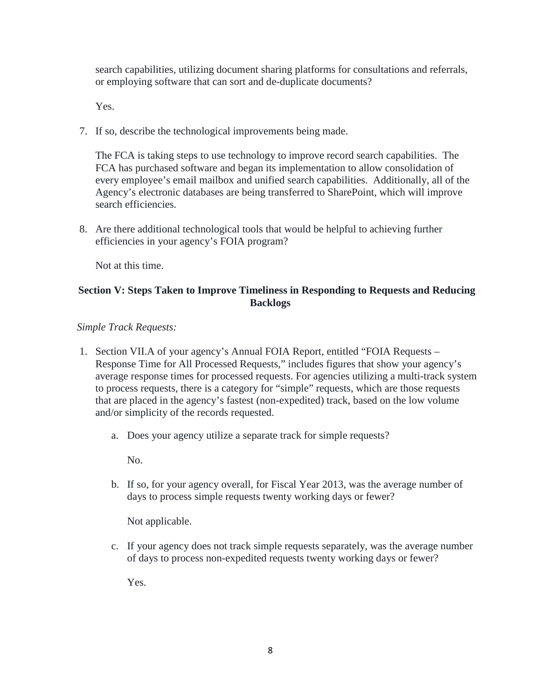search capabilities, utilizing document sharing platforms for consultations and referrals, or employing software that can sort and de-duplicate documents?

Yes.

7. If so, describe the technological improvements being made.

The FCA is taking steps to use technology to improve record search capabilities. The FCA has purchased software and began its implementation to allow consolidation of every employee's email mailbox and unified search capabilities. Additionally, all of the Agency's electronic databases are being transferred to SharePoint, which will improve search efficiencies.

8. Are there additional technological tools that would be helpful to achieving further efficiencies in your agency's FOIA program?

Not at this time.

# **Section V: Steps Taken to Improve Timeliness in Responding to Requests and Reducing Backlogs**

### *Simple Track Requests:*

- 1. Section VII.A of your agency's Annual FOIA Report, entitled "FOIA Requests Response Time for All Processed Requests," includes figures that show your agency's average response times for processed requests. For agencies utilizing a multi-track system to process requests, there is a category for "simple" requests, which are those requests that are placed in the agency's fastest (non-expedited) track, based on the low volume and/or simplicity of the records requested.
	- a. Does your agency utilize a separate track for simple requests?

No.

b. If so, for your agency overall, for Fiscal Year 2013, was the average number of days to process simple requests twenty working days or fewer?

Not applicable.

c. If your agency does not track simple requests separately, was the average number of days to process non-expedited requests twenty working days or fewer?

Yes.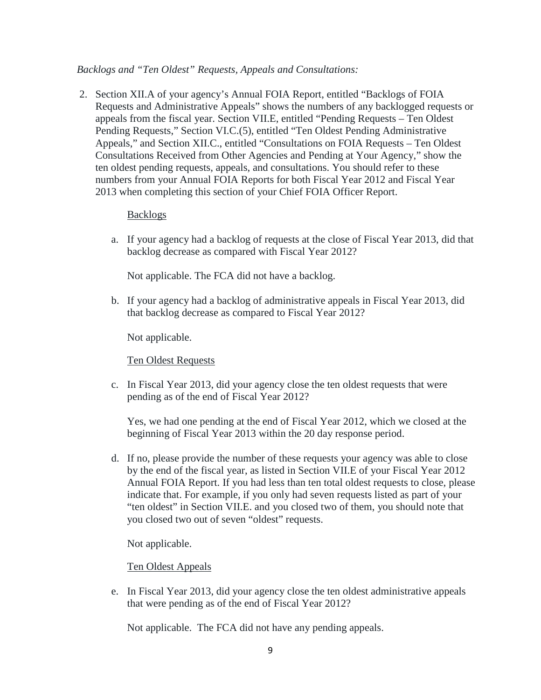#### *Backlogs and "Ten Oldest" Requests, Appeals and Consultations:*

2. Section XII.A of your agency's Annual FOIA Report, entitled "Backlogs of FOIA Requests and Administrative Appeals" shows the numbers of any backlogged requests or appeals from the fiscal year. Section VII.E, entitled "Pending Requests – Ten Oldest Pending Requests," Section VI.C.(5), entitled "Ten Oldest Pending Administrative Appeals," and Section XII.C., entitled "Consultations on FOIA Requests – Ten Oldest Consultations Received from Other Agencies and Pending at Your Agency," show the ten oldest pending requests, appeals, and consultations. You should refer to these numbers from your Annual FOIA Reports for both Fiscal Year 2012 and Fiscal Year 2013 when completing this section of your Chief FOIA Officer Report.

#### Backlogs

a. If your agency had a backlog of requests at the close of Fiscal Year 2013, did that backlog decrease as compared with Fiscal Year 2012?

Not applicable. The FCA did not have a backlog.

b. If your agency had a backlog of administrative appeals in Fiscal Year 2013, did that backlog decrease as compared to Fiscal Year 2012?

Not applicable.

Ten Oldest Requests

c. In Fiscal Year 2013, did your agency close the ten oldest requests that were pending as of the end of Fiscal Year 2012?

Yes, we had one pending at the end of Fiscal Year 2012, which we closed at the beginning of Fiscal Year 2013 within the 20 day response period.

d. If no, please provide the number of these requests your agency was able to close by the end of the fiscal year, as listed in Section VII.E of your Fiscal Year 2012 Annual FOIA Report. If you had less than ten total oldest requests to close, please indicate that. For example, if you only had seven requests listed as part of your "ten oldest" in Section VII.E. and you closed two of them, you should note that you closed two out of seven "oldest" requests.

Not applicable.

#### Ten Oldest Appeals

e. In Fiscal Year 2013, did your agency close the ten oldest administrative appeals that were pending as of the end of Fiscal Year 2012?

Not applicable. The FCA did not have any pending appeals.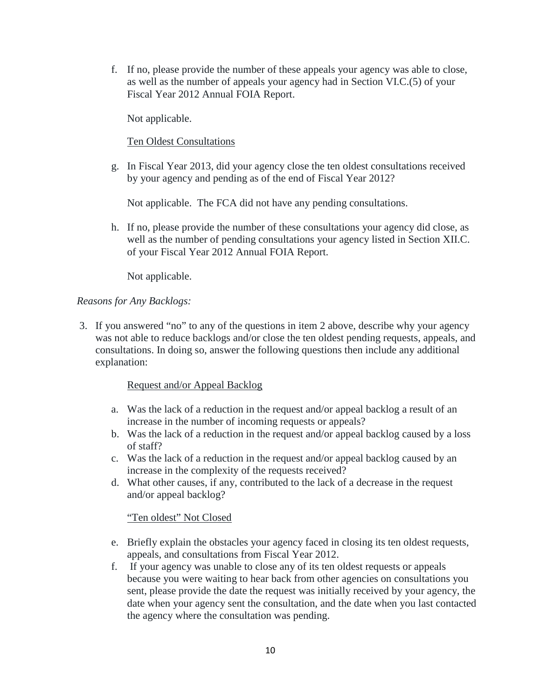f. If no, please provide the number of these appeals your agency was able to close, as well as the number of appeals your agency had in Section VI.C.(5) of your Fiscal Year 2012 Annual FOIA Report.

Not applicable.

Ten Oldest Consultations

g. In Fiscal Year 2013, did your agency close the ten oldest consultations received by your agency and pending as of the end of Fiscal Year 2012?

Not applicable. The FCA did not have any pending consultations.

h. If no, please provide the number of these consultations your agency did close, as well as the number of pending consultations your agency listed in Section XII.C. of your Fiscal Year 2012 Annual FOIA Report.

Not applicable.

### *Reasons for Any Backlogs:*

3. If you answered "no" to any of the questions in item 2 above, describe why your agency was not able to reduce backlogs and/or close the ten oldest pending requests, appeals, and consultations. In doing so, answer the following questions then include any additional explanation:

#### Request and/or Appeal Backlog

- a. Was the lack of a reduction in the request and/or appeal backlog a result of an increase in the number of incoming requests or appeals?
- b. Was the lack of a reduction in the request and/or appeal backlog caused by a loss of staff?
- c. Was the lack of a reduction in the request and/or appeal backlog caused by an increase in the complexity of the requests received?
- d. What other causes, if any, contributed to the lack of a decrease in the request and/or appeal backlog?

### "Ten oldest" Not Closed

- e. Briefly explain the obstacles your agency faced in closing its ten oldest requests, appeals, and consultations from Fiscal Year 2012.
- f. If your agency was unable to close any of its ten oldest requests or appeals because you were waiting to hear back from other agencies on consultations you sent, please provide the date the request was initially received by your agency, the date when your agency sent the consultation, and the date when you last contacted the agency where the consultation was pending.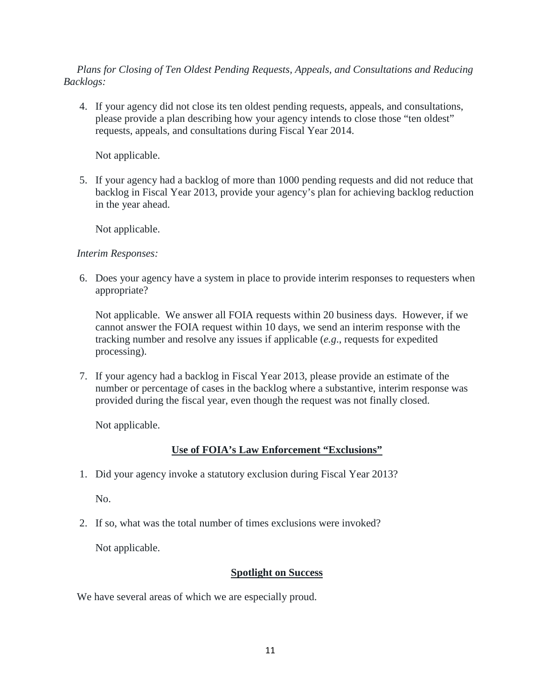### *Plans for Closing of Ten Oldest Pending Requests, Appeals, and Consultations and Reducing Backlogs:*

4. If your agency did not close its ten oldest pending requests, appeals, and consultations, please provide a plan describing how your agency intends to close those "ten oldest" requests, appeals, and consultations during Fiscal Year 2014.

Not applicable.

5. If your agency had a backlog of more than 1000 pending requests and did not reduce that backlog in Fiscal Year 2013, provide your agency's plan for achieving backlog reduction in the year ahead.

Not applicable.

# *Interim Responses:*

6. Does your agency have a system in place to provide interim responses to requesters when appropriate?

Not applicable. We answer all FOIA requests within 20 business days. However, if we cannot answer the FOIA request within 10 days, we send an interim response with the tracking number and resolve any issues if applicable (*e.g*., requests for expedited processing).

7. If your agency had a backlog in Fiscal Year 2013, please provide an estimate of the number or percentage of cases in the backlog where a substantive, interim response was provided during the fiscal year, even though the request was not finally closed.

Not applicable.

# **Use of FOIA's Law Enforcement "Exclusions"**

1. Did your agency invoke a statutory exclusion during Fiscal Year 2013?

No.

2. If so, what was the total number of times exclusions were invoked?

Not applicable.

### **Spotlight on Success**

We have several areas of which we are especially proud.